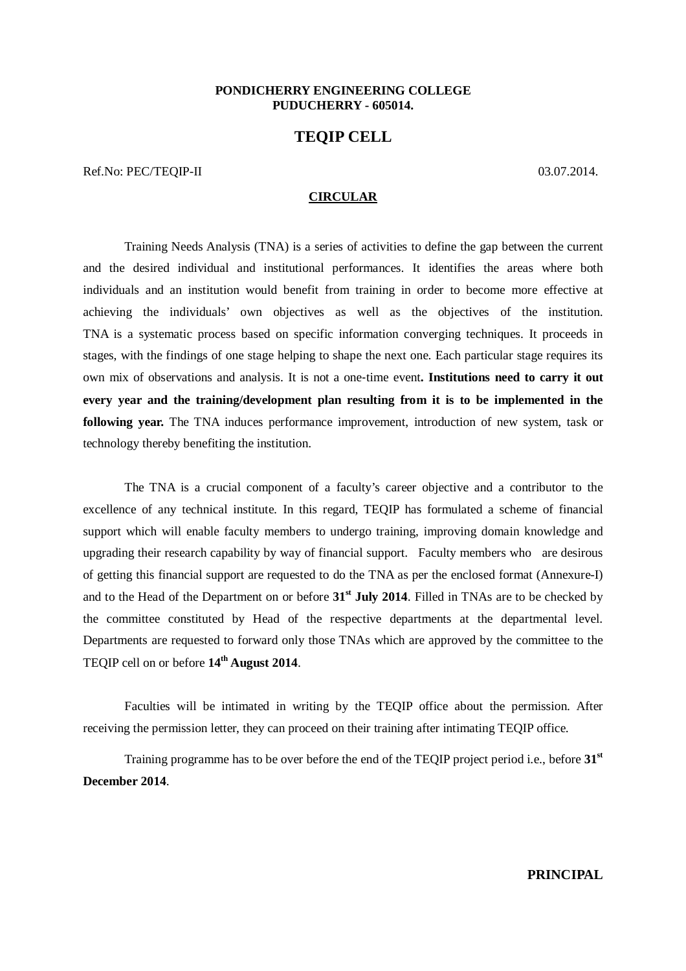#### **PONDICHERRY ENGINEERING COLLEGE PUDUCHERRY - 605014.**

# **TEQIP CELL**

Ref.No: PEC/TEOIP-II 03.07.2014.

#### **CIRCULAR**

Training Needs Analysis (TNA) is a series of activities to define the gap between the current and the desired individual and institutional performances. It identifies the areas where both individuals and an institution would benefit from training in order to become more effective at achieving the individuals' own objectives as well as the objectives of the institution. TNA is a systematic process based on specific information converging techniques. It proceeds in stages, with the findings of one stage helping to shape the next one. Each particular stage requires its own mix of observations and analysis. It is not a one‐time event**. Institutions need to carry it out every year and the training/development plan resulting from it is to be implemented in the following year.** The TNA induces performance improvement, introduction of new system, task or technology thereby benefiting the institution.

The TNA is a crucial component of a faculty's career objective and a contributor to the excellence of any technical institute. In this regard, TEQIP has formulated a scheme of financial support which will enable faculty members to undergo training, improving domain knowledge and upgrading their research capability by way of financial support. Faculty members who are desirous of getting this financial support are requested to do the TNA as per the enclosed format (Annexure-I) and to the Head of the Department on or before **31st July 2014**. Filled in TNAs are to be checked by the committee constituted by Head of the respective departments at the departmental level. Departments are requested to forward only those TNAs which are approved by the committee to the TEQIP cell on or before **14th August 2014**.

Faculties will be intimated in writing by the TEQIP office about the permission. After receiving the permission letter, they can proceed on their training after intimating TEQIP office.

Training programme has to be over before the end of the TEQIP project period i.e., before **31st December 2014**.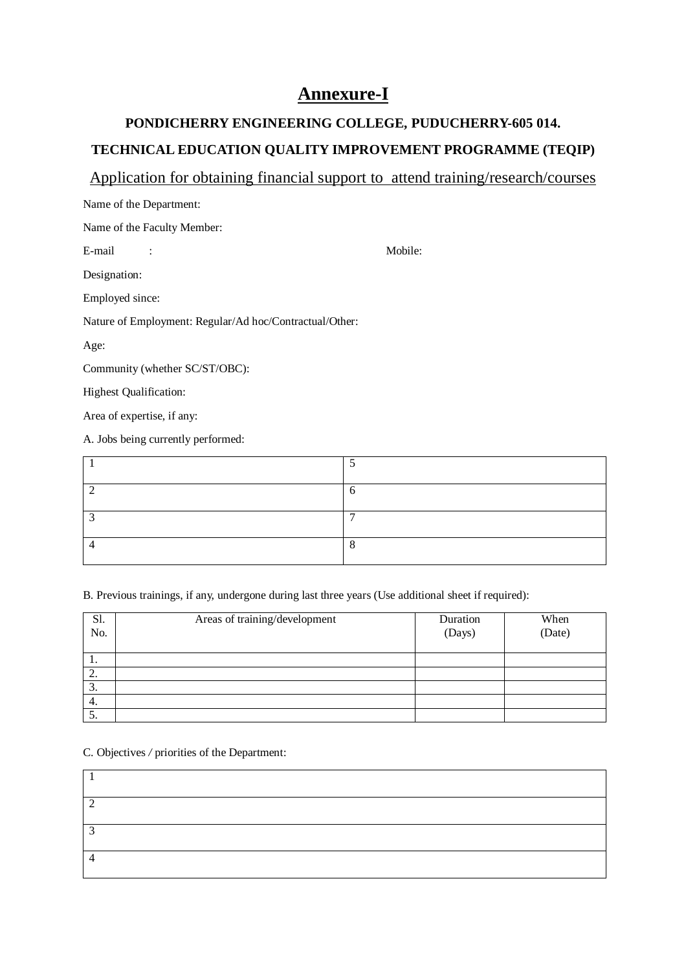# **Annexure-I**

# **PONDICHERRY ENGINEERING COLLEGE, PUDUCHERRY-605 014. TECHNICAL EDUCATION QUALITY IMPROVEMENT PROGRAMME (TEQIP)**

# Application for obtaining financial support to attend training/research/courses

| Name of the Department:                                 |         |
|---------------------------------------------------------|---------|
| Name of the Faculty Member:                             |         |
| E-mail                                                  | Mobile: |
| Designation:                                            |         |
| Employed since:                                         |         |
| Nature of Employment: Regular/Ad hoc/Contractual/Other: |         |
| Age:                                                    |         |
| Community (whether SC/ST/OBC):                          |         |
| <b>Highest Qualification:</b>                           |         |
| Area of expertise, if any:                              |         |
| A. Jobs being currently performed:                      |         |

| − |
|---|
|   |

## B. Previous trainings, if any, undergone during last three years (Use additional sheet if required):

| Sl.<br>No. | Areas of training/development | Duration<br>(Days) | When<br>(Date) |
|------------|-------------------------------|--------------------|----------------|
| .,         |                               |                    |                |
| 2.         |                               |                    |                |
| 3.         |                               |                    |                |
| 4.         |                               |                    |                |
| C.         |                               |                    |                |

C. Objectives */* priorities of the Department:

| ◠      |  |  |
|--------|--|--|
|        |  |  |
|        |  |  |
|        |  |  |
| $\sim$ |  |  |
|        |  |  |
|        |  |  |
|        |  |  |
|        |  |  |
|        |  |  |
|        |  |  |
|        |  |  |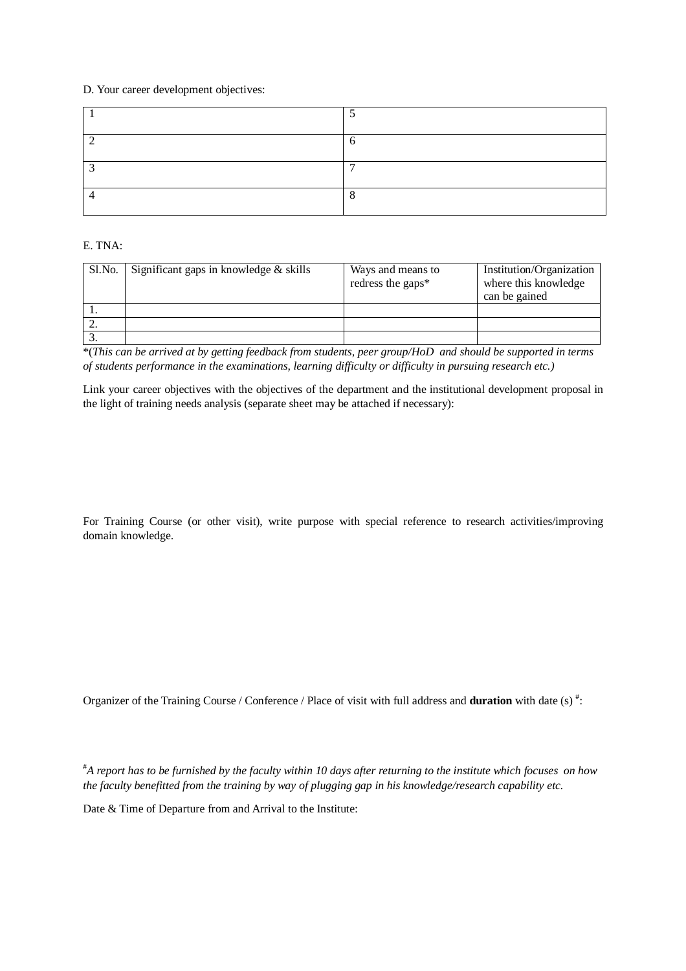#### D. Your career development objectives:

| $\overline{\phantom{0}}$ |
|--------------------------|
|                          |

### E. TNA:

| Sl.No. | Significant gaps in knowledge & skills | Ways and means to<br>redress the gaps* | Institution/Organization<br>where this knowledge<br>can be gained |
|--------|----------------------------------------|----------------------------------------|-------------------------------------------------------------------|
|        |                                        |                                        |                                                                   |
|        |                                        |                                        |                                                                   |
|        |                                        |                                        |                                                                   |

\*(*This can be arrived at by getting feedback from students, peer group/HoD and should be supported in terms of students performance in the examinations, learning difficulty or difficulty in pursuing research etc.)*

Link your career objectives with the objectives of the department and the institutional development proposal in the light of training needs analysis (separate sheet may be attached if necessary):

For Training Course (or other visit), write purpose with special reference to research activities/improving domain knowledge.

Organizer of the Training Course / Conference / Place of visit with full address and **duration** with date (s) <sup>#</sup>:

#*A report has to be furnished by the faculty within 10 days after returning to the institute which focuses on how the faculty benefitted from the training by way of plugging gap in his knowledge/research capability etc.*

Date & Time of Departure from and Arrival to the Institute: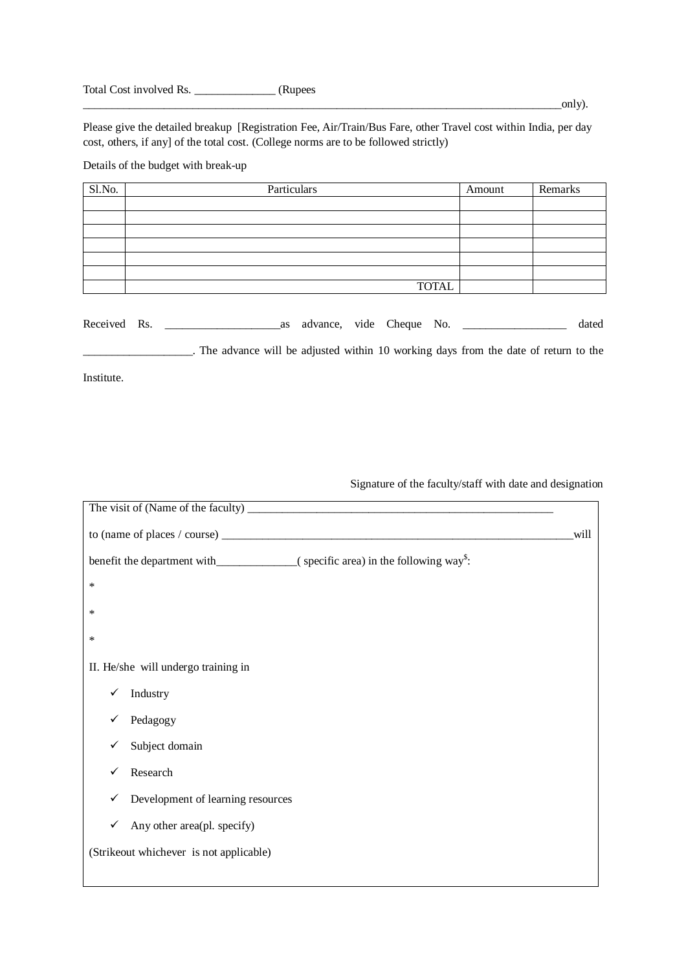Total Cost involved Rs. \_\_\_\_\_\_\_\_\_\_\_\_\_\_ (Rupees

Please give the detailed breakup [Registration Fee, Air/Train/Bus Fare, other Travel cost within India, per day cost, others, if any] of the total cost. (College norms are to be followed strictly)

Details of the budget with break-up

| Sl.No. | Particulars  | Amount | Remarks |
|--------|--------------|--------|---------|
|        |              |        |         |
|        |              |        |         |
|        |              |        |         |
|        |              |        |         |
|        |              |        |         |
|        |              |        |         |
|        | <b>TOTAL</b> |        |         |

Received Rs. \_\_\_\_\_\_\_\_\_\_\_\_\_\_\_\_\_\_\_\_as advance, vide Cheque No. \_\_\_\_\_\_\_\_\_\_\_\_\_\_\_\_\_\_ dated

\_\_\_\_\_\_\_\_\_\_\_\_\_\_\_\_\_\_\_. The advance will be adjusted within 10 working days from the date of return to the

Institute.

Signature of the faculty/staff with date and designation

| <u> 1989 - Andrea Santa Andrea Andrea Andrea Andrea Andrea Andrea Andrea Andrea Andrea Andrea Andrea Andrea Andr</u> |      |
|----------------------------------------------------------------------------------------------------------------------|------|
|                                                                                                                      | will |
|                                                                                                                      |      |
| $\ast$                                                                                                               |      |
| ∗                                                                                                                    |      |
| ∗                                                                                                                    |      |
| II. He/she will undergo training in                                                                                  |      |
| Industry<br>✓                                                                                                        |      |
| Pedagogy                                                                                                             |      |
| Subject domain                                                                                                       |      |
| Research                                                                                                             |      |
| Development of learning resources                                                                                    |      |
| Any other area(pl. specify)<br>✓                                                                                     |      |
| (Strikeout whichever is not applicable)                                                                              |      |
|                                                                                                                      |      |

\_\_\_\_\_\_\_\_\_\_\_\_\_\_\_\_\_\_\_\_\_\_\_\_\_\_\_\_\_\_\_\_\_\_\_\_\_\_\_\_\_\_\_\_\_\_\_\_\_\_\_\_\_\_\_\_\_\_\_\_\_\_\_\_\_\_\_\_\_\_\_\_\_\_\_\_\_\_\_\_\_\_\_only).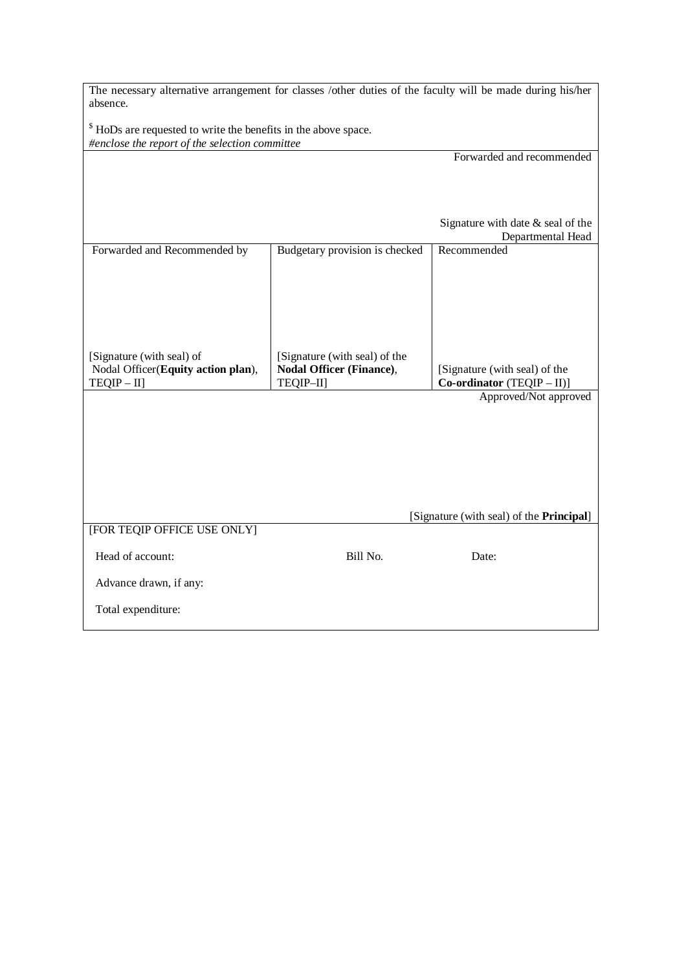| The necessary alternative arrangement for classes /other duties of the faculty will be made during his/her |  |  |  |  |  |  |
|------------------------------------------------------------------------------------------------------------|--|--|--|--|--|--|
| absence.                                                                                                   |  |  |  |  |  |  |

<sup>\$</sup> HoDs are requested to write the benefits in the above space. *#enclose the report of the selection committee*

|                                                    |                                       | Forwarded and recommended                                   |
|----------------------------------------------------|---------------------------------------|-------------------------------------------------------------|
|                                                    |                                       |                                                             |
|                                                    |                                       |                                                             |
|                                                    |                                       |                                                             |
|                                                    |                                       | Signature with date $&$ seal of the                         |
|                                                    |                                       | Departmental Head                                           |
| Forwarded and Recommended by                       | Budgetary provision is checked        | Recommended                                                 |
|                                                    |                                       |                                                             |
|                                                    |                                       |                                                             |
|                                                    |                                       |                                                             |
|                                                    |                                       |                                                             |
|                                                    |                                       |                                                             |
|                                                    |                                       |                                                             |
| [Signature (with seal) of                          | [Signature (with seal) of the         |                                                             |
| Nodal Officer(Equity action plan),<br>$TEQIP - II$ | Nodal Officer (Finance),<br>TEQIP-II] | [Signature (with seal) of the<br>Co-ordinator (TEQIP - II)] |
|                                                    |                                       | Approved/Not approved                                       |
|                                                    |                                       |                                                             |
|                                                    |                                       |                                                             |
|                                                    |                                       |                                                             |
|                                                    |                                       |                                                             |
|                                                    |                                       |                                                             |
|                                                    |                                       |                                                             |
|                                                    |                                       |                                                             |
|                                                    |                                       | [Signature (with seal) of the <b>Principal</b> ]            |
| [FOR TEQIP OFFICE USE ONLY]                        |                                       |                                                             |
|                                                    |                                       |                                                             |
| Head of account:                                   | Bill No.                              | Date:                                                       |
| Advance drawn, if any:                             |                                       |                                                             |
|                                                    |                                       |                                                             |
| Total expenditure:                                 |                                       |                                                             |
|                                                    |                                       |                                                             |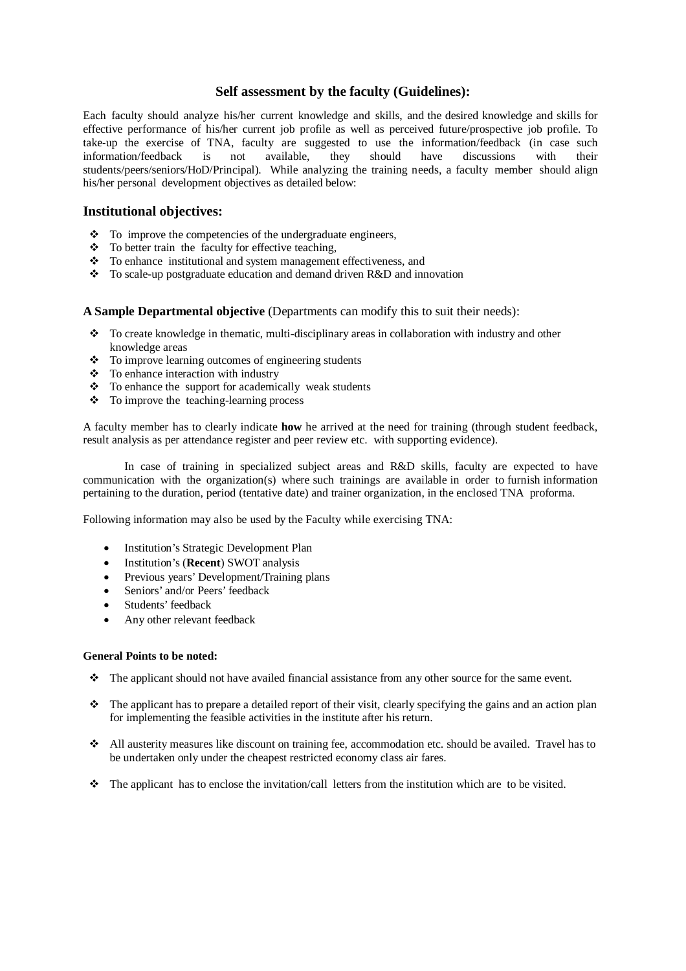## **Self assessment by the faculty (Guidelines):**

Each faculty should analyze his/her current knowledge and skills, and the desired knowledge and skills for effective performance of his/her current job profile as well as perceived future/prospective job profile. To take-up the exercise of TNA, faculty are suggested to use the information/feedback (in case such information/feedback is not available. they should have discussions with their information/feedback is not available, they should have discussions with their students/peers/seniors/HoD/Principal). While analyzing the training needs, a faculty member should align his/her personal development objectives as detailed below:

### **Institutional objectives:**

- $\bullet$  To improve the competencies of the undergraduate engineers,
- $\div$  To better train the faculty for effective teaching,
- \* To enhance institutional and system management effectiveness, and
- To scale-up postgraduate education and demand driven R&D and innovation

#### **A Sample Departmental objective** (Departments can modify this to suit their needs):

- \* To create knowledge in thematic, multi-disciplinary areas in collaboration with industry and other knowledge areas
- $\div$  To improve learning outcomes of engineering students
- $\div$  To enhance interaction with industry
- $\div$  To enhance the support for academically weak students
- $\div$  To improve the teaching-learning process

A faculty member has to clearly indicate **how** he arrived at the need for training (through student feedback, result analysis as per attendance register and peer review etc. with supporting evidence).

In case of training in specialized subject areas and R&D skills, faculty are expected to have communication with the organization(s) where such trainings are available in order to furnish information pertaining to the duration, period (tentative date) and trainer organization, in the enclosed TNA proforma.

Following information may also be used by the Faculty while exercising TNA:

- Institution's Strategic Development Plan
- Institution's (**Recent**) SWOT analysis
- Previous years' Development/Training plans
- Seniors' and/or Peers' feedback
- Students' feedback
- Any other relevant feedback

#### **General Points to be noted:**

- The applicant should not have availed financial assistance from any other source for the same event.
- $\bullet$  The applicant has to prepare a detailed report of their visit, clearly specifying the gains and an action plan for implementing the feasible activities in the institute after his return.
- All austerity measures like discount on training fee, accommodation etc. should be availed. Travel has to be undertaken only under the cheapest restricted economy class air fares.
- $\bullet$  The applicant has to enclose the invitation/call letters from the institution which are to be visited.